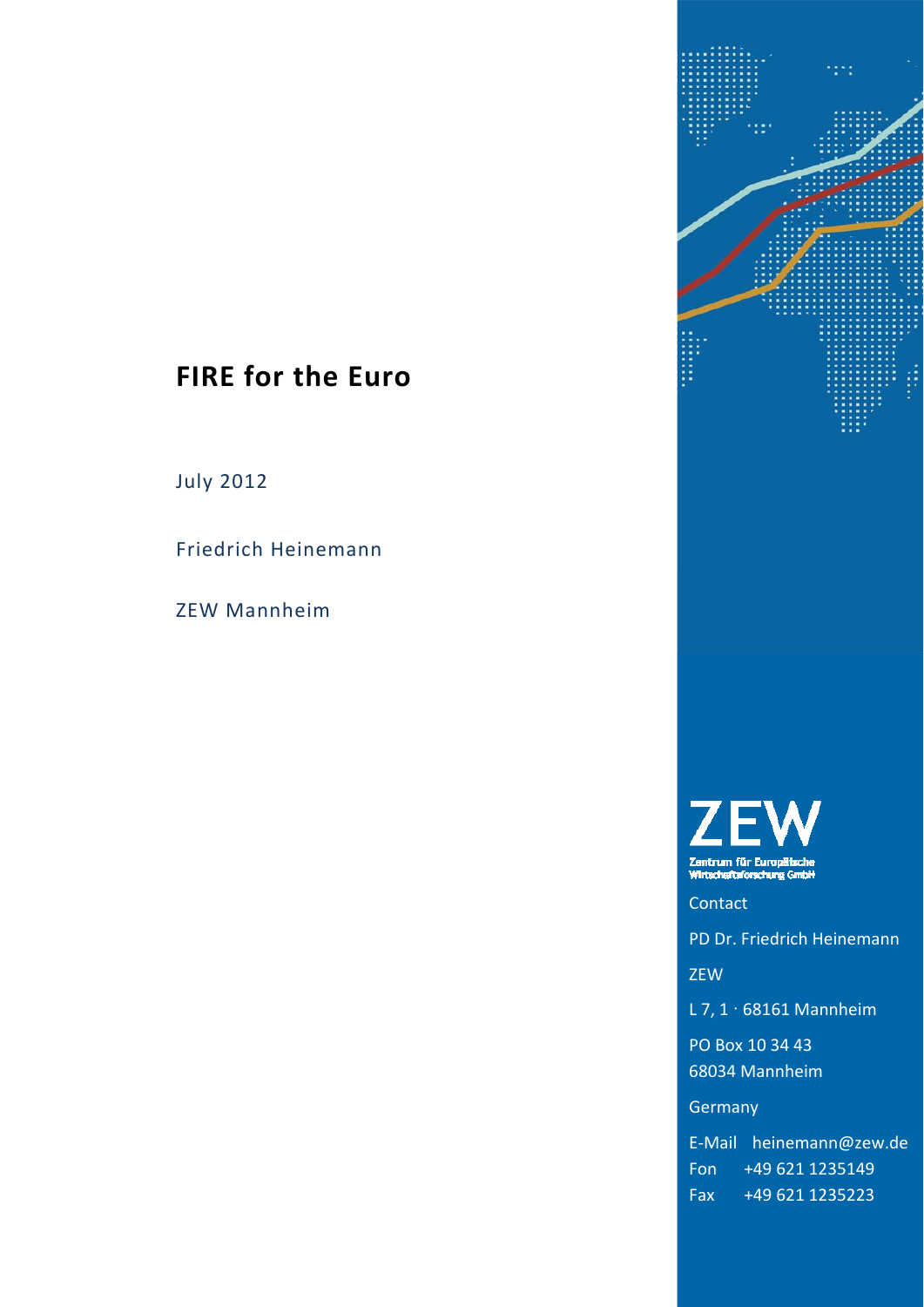# **FIRE for the Euro**

July 2012

Friedrich Heinemann

ZEW Mannheim



**Zentrum für Europäische**<br>Wirtscheftsforschung GmbH

Contact

PD Dr. Friedrich Heinemann

ZEW

L 7,  $1 \cdot 68161$  Mannheim

PO Box 10 34 43 68034 Mannheim

**Germany** 

E‐Mail heinemann@zew.de Fon +49 621 1235149 Fax +49 621 1235223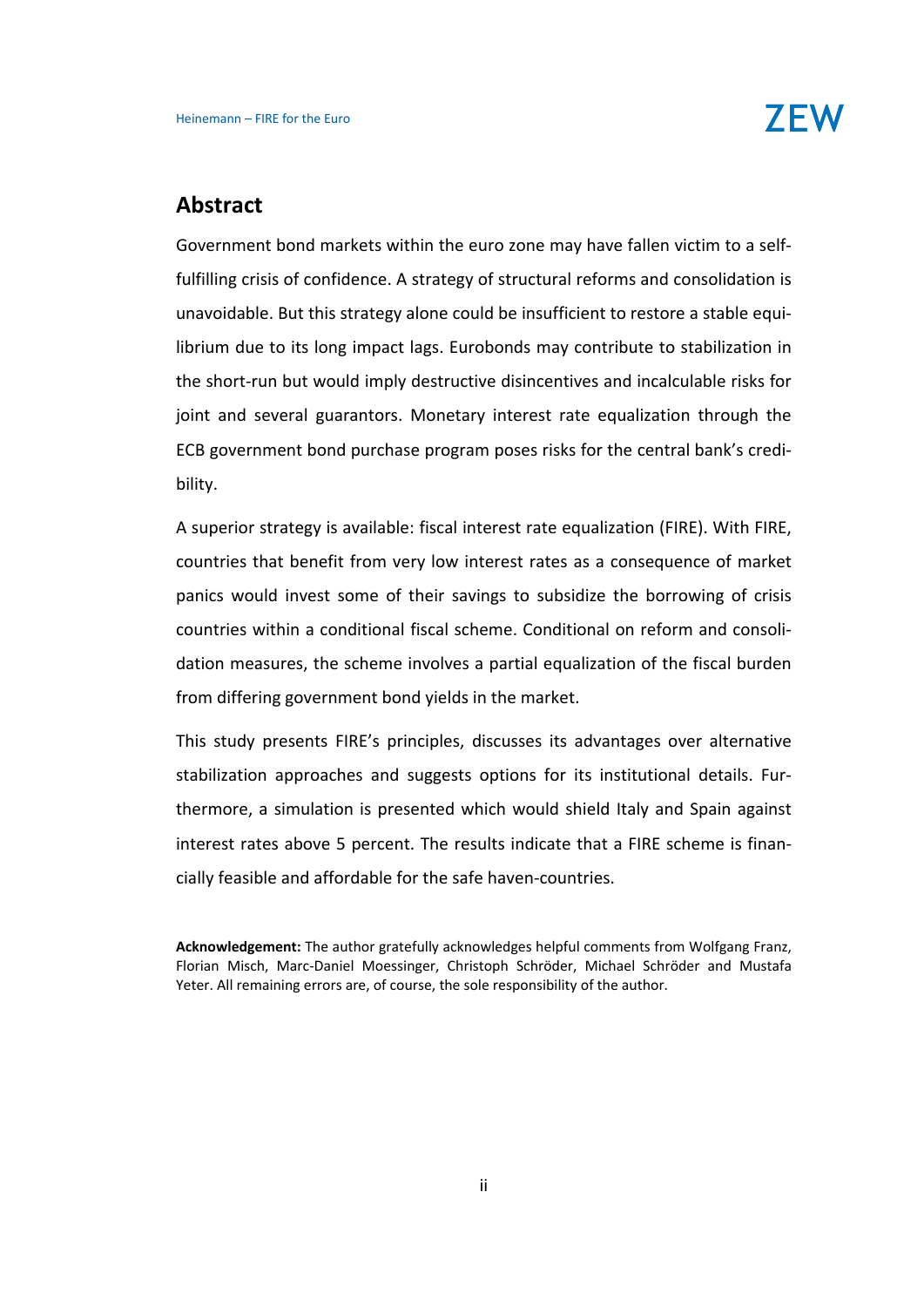### **Abstract**

Government bond markets within the euro zone may have fallen victim to a self‐ fulfilling crisis of confidence. A strategy of structural reforms and consolidation is unavoidable. But this strategy alone could be insufficient to restore a stable equi‐ librium due to its long impact lags. Eurobonds may contribute to stabilization in the short‐run but would imply destructive disincentives and incalculable risks for joint and several guarantors. Monetary interest rate equalization through the ECB government bond purchase program poses risks for the central bank's credi‐ bility.

A superior strategy is available: fiscal interest rate equalization (FIRE). With FIRE, countries that benefit from very low interest rates as a consequence of market panics would invest some of their savings to subsidize the borrowing of crisis countries within a conditional fiscal scheme. Conditional on reform and consoli‐ dation measures, the scheme involves a partial equalization of the fiscal burden from differing government bond yields in the market.

This study presents FIRE's principles, discusses its advantages over alternative stabilization approaches and suggests options for its institutional details. Fur‐ thermore, a simulation is presented which would shield Italy and Spain against interest rates above 5 percent. The results indicate that a FIRE scheme is finan‐ cially feasible and affordable for the safe haven‐countries.

**Acknowledgement:** The author gratefully acknowledges helpful comments from Wolfgang Franz, Florian Misch, Marc‐Daniel Moessinger, Christoph Schröder, Michael Schröder and Mustafa Yeter. All remaining errors are, of course, the sole responsibility of the author.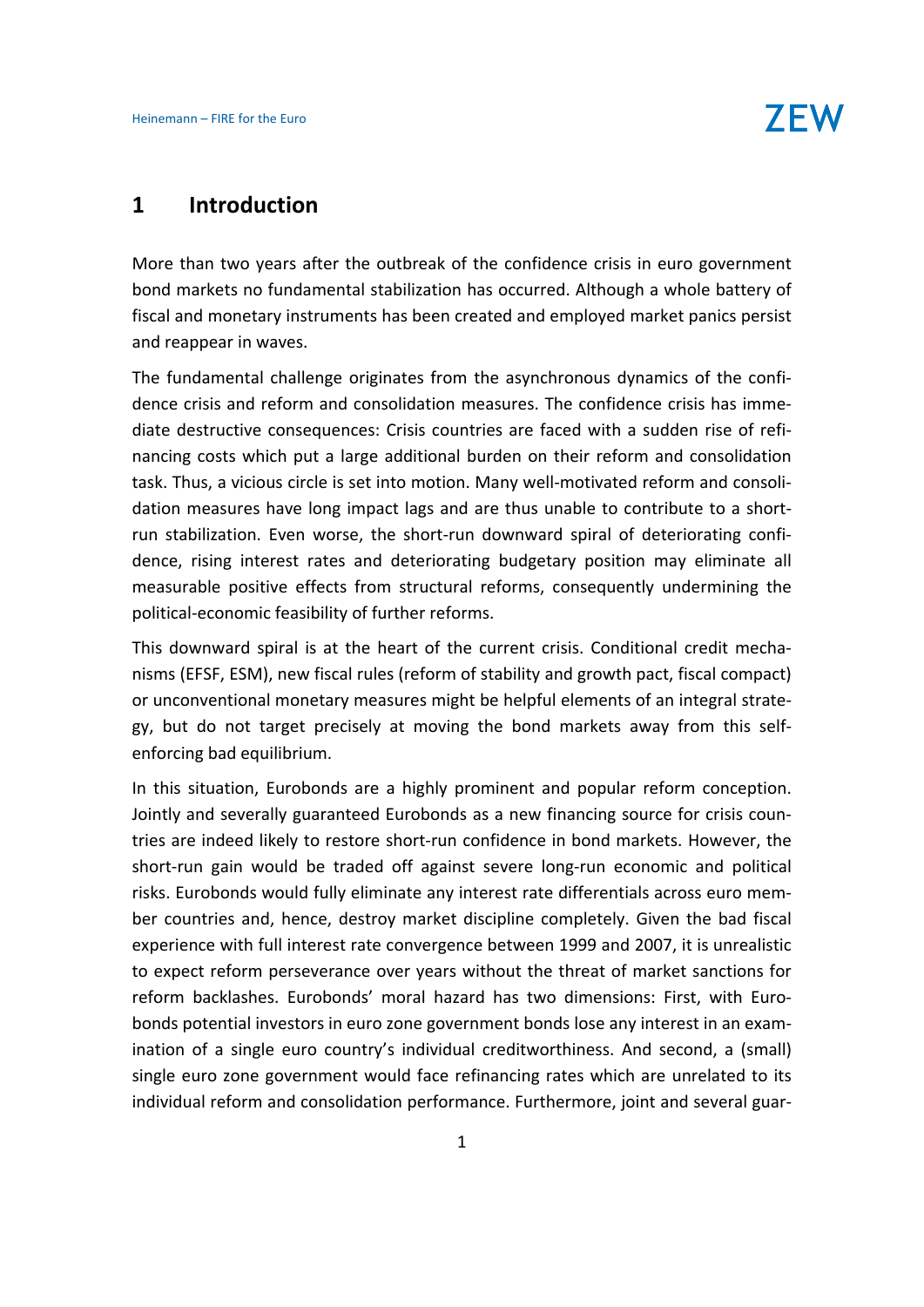### **1 Introduction**

More than two years after the outbreak of the confidence crisis in euro government bond markets no fundamental stabilization has occurred. Although a whole battery of fiscal and monetary instruments has been created and employed market panics persist and reappear in waves.

The fundamental challenge originates from the asynchronous dynamics of the confi‐ dence crisis and reform and consolidation measures. The confidence crisis has imme‐ diate destructive consequences: Crisis countries are faced with a sudden rise of refi‐ nancing costs which put a large additional burden on their reform and consolidation task. Thus, a vicious circle is set into motion. Many well‐motivated reform and consoli‐ dation measures have long impact lags and are thus unable to contribute to a short‐ run stabilization. Even worse, the short‐run downward spiral of deteriorating confi‐ dence, rising interest rates and deteriorating budgetary position may eliminate all measurable positive effects from structural reforms, consequently undermining the political‐economic feasibility of further reforms.

This downward spiral is at the heart of the current crisis. Conditional credit mecha‐ nisms (EFSF, ESM), new fiscal rules (reform of stability and growth pact, fiscal compact) or unconventional monetary measures might be helpful elements of an integral strate‐ gy, but do not target precisely at moving the bond markets away from this self‐ enforcing bad equilibrium.

In this situation, Eurobonds are a highly prominent and popular reform conception. Jointly and severally guaranteed Eurobonds as a new financing source for crisis coun‐ tries are indeed likely to restore short‐run confidence in bond markets. However, the short‐run gain would be traded off against severe long‐run economic and political risks. Eurobonds would fully eliminate any interest rate differentials across euro mem‐ ber countries and, hence, destroy market discipline completely. Given the bad fiscal experience with full interest rate convergence between 1999 and 2007, it is unrealistic to expect reform perseverance over years without the threat of market sanctions for reform backlashes. Eurobonds' moral hazard has two dimensions: First, with Euro‐ bonds potential investors in euro zone government bonds lose any interest in an exam‐ ination of a single euro country's individual creditworthiness. And second, a (small) single euro zone government would face refinancing rates which are unrelated to its individual reform and consolidation performance. Furthermore, joint and several guar‐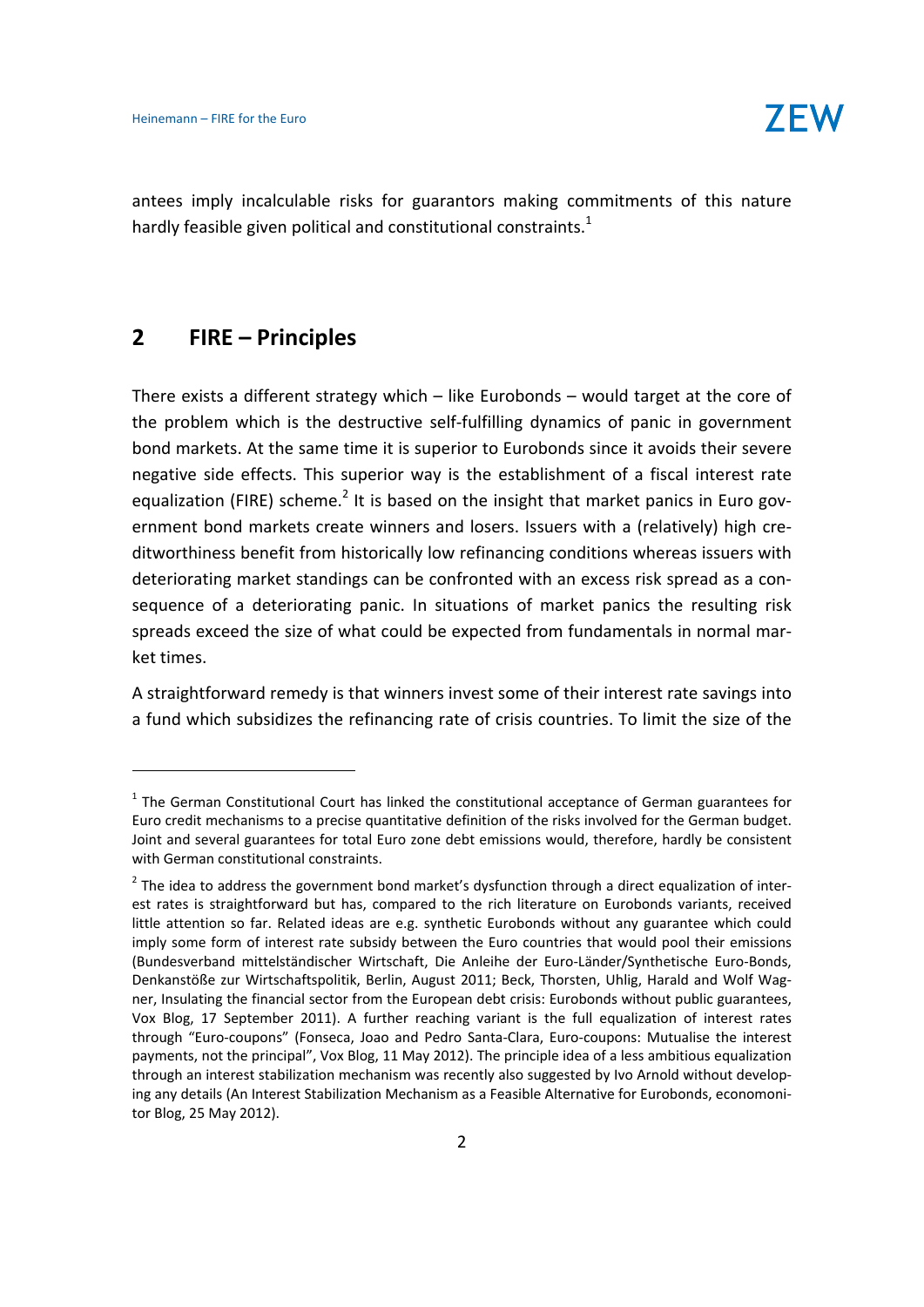antees imply incalculable risks for guarantors making commitments of this nature hardly feasible given political and constitutional constraints.<sup>1</sup>

# **2 FIRE – Principles**

There exists a different strategy which – like Eurobonds – would target at the core of the problem which is the destructive self‐fulfilling dynamics of panic in government bond markets. At the same time it is superior to Eurobonds since it avoids their severe negative side effects. This superior way is the establishment of a fiscal interest rate equalization (FIRE) scheme.<sup>2</sup> It is based on the insight that market panics in Euro government bond markets create winners and losers. Issuers with a (relatively) high cre‐ ditworthiness benefit from historically low refinancing conditions whereas issuers with deteriorating market standings can be confronted with an excess risk spread as a con‐ sequence of a deteriorating panic. In situations of market panics the resulting risk spreads exceed the size of what could be expected from fundamentals in normal mar‐ ket times.

A straightforward remedy is that winners invest some of their interest rate savings into a fund which subsidizes the refinancing rate of crisis countries. To limit the size of the

 $1$  The German Constitutional Court has linked the constitutional acceptance of German guarantees for Euro credit mechanisms to a precise quantitative definition of the risks involved for the German budget. Joint and several guarantees for total Euro zone debt emissions would, therefore, hardly be consistent with German constitutional constraints.

 $2$  The idea to address the government bond market's dysfunction through a direct equalization of interest rates is straightforward but has, compared to the rich literature on Eurobonds variants, received little attention so far. Related ideas are e.g. synthetic Eurobonds without any guarantee which could imply some form of interest rate subsidy between the Euro countries that would pool their emissions (Bundesverband mittelständischer Wirtschaft, Die Anleihe der Euro‐Länder/Synthetische Euro‐Bonds, Denkanstöße zur Wirtschaftspolitik, Berlin, August 2011; Beck, Thorsten, Uhlig, Harald and Wolf Wag‐ ner, Insulating the financial sector from the European debt crisis: Eurobonds without public guarantees, Vox Blog, 17 September 2011). A further reaching variant is the full equalization of interest rates through "Euro‐coupons" (Fonseca, Joao and Pedro Santa‐Clara, Euro‐coupons: Mutualise the interest payments, not the principal", Vox Blog, 11 May 2012). The principle idea of a less ambitious equalization through an interest stabilization mechanism was recently also suggested by Ivo Arnold without develop‐ ing any details (An Interest Stabilization Mechanism as a Feasible Alternative for Eurobonds, economoni‐ tor Blog, 25 May 2012).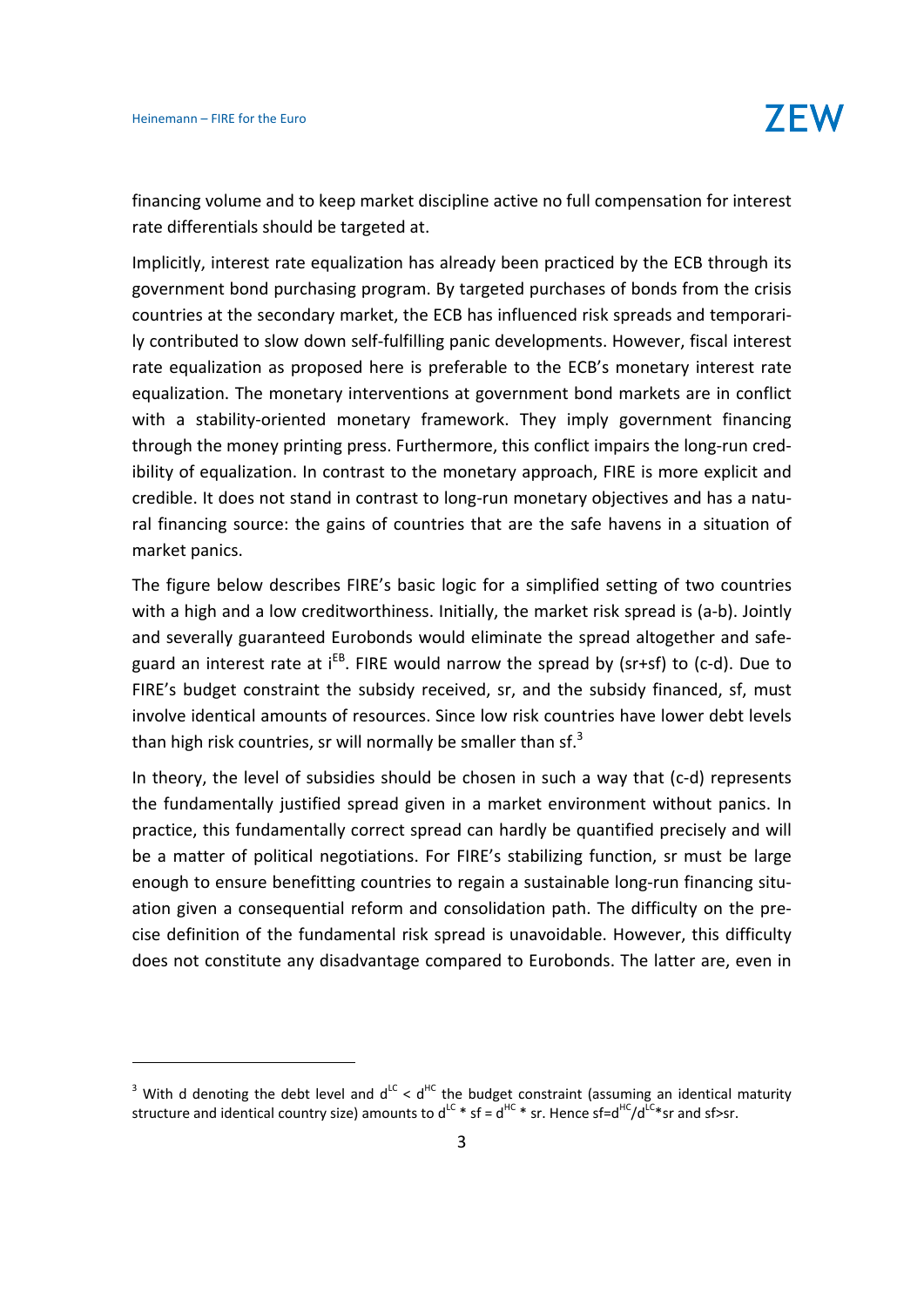financing volume and to keep market discipline active no full compensation for interest rate differentials should be targeted at.

Implicitly, interest rate equalization has already been practiced by the ECB through its government bond purchasing program. By targeted purchases of bonds from the crisis countries at the secondary market, the ECB has influenced risk spreads and temporari‐ ly contributed to slow down self‐fulfilling panic developments. However, fiscal interest rate equalization as proposed here is preferable to the ECB's monetary interest rate equalization. The monetary interventions at government bond markets are in conflict with a stability-oriented monetary framework. They imply government financing through the money printing press. Furthermore, this conflict impairs the long-run credibility of equalization. In contrast to the monetary approach, FIRE is more explicit and credible. It does not stand in contrast to long‐run monetary objectives and has a natu‐ ral financing source: the gains of countries that are the safe havens in a situation of market panics.

The figure below describes FIRE's basic logic for a simplified setting of two countries with a high and a low creditworthiness. Initially, the market risk spread is (a-b). Jointly and severally guaranteed Eurobonds would eliminate the spread altogether and safe‐ guard an interest rate at i<sup>EB</sup>. FIRE would narrow the spread by (sr+sf) to (c-d). Due to FIRE's budget constraint the subsidy received, sr, and the subsidy financed, sf, must involve identical amounts of resources. Since low risk countries have lower debt levels than high risk countries, sr will normally be smaller than sf.<sup>3</sup>

In theory, the level of subsidies should be chosen in such a way that (c‐d) represents the fundamentally justified spread given in a market environment without panics. In practice, this fundamentally correct spread can hardly be quantified precisely and will be a matter of political negotiations. For FIRE's stabilizing function, sr must be large enough to ensure benefitting countries to regain a sustainable long-run financing situation given a consequential reform and consolidation path. The difficulty on the pre‐ cise definition of the fundamental risk spread is unavoidable. However, this difficulty does not constitute any disadvantage compared to Eurobonds. The latter are, even in

<sup>&</sup>lt;sup>3</sup> With d denoting the debt level and  $d^{LC} < d^{HC}$  the budget constraint (assuming an identical maturity structure and identical country size) amounts to  $d^{LC}$  \* sf =  $d^{HC}$  \* sr. Hence sf= $d^{HC}/d^{LC}$  sr and sf>sr.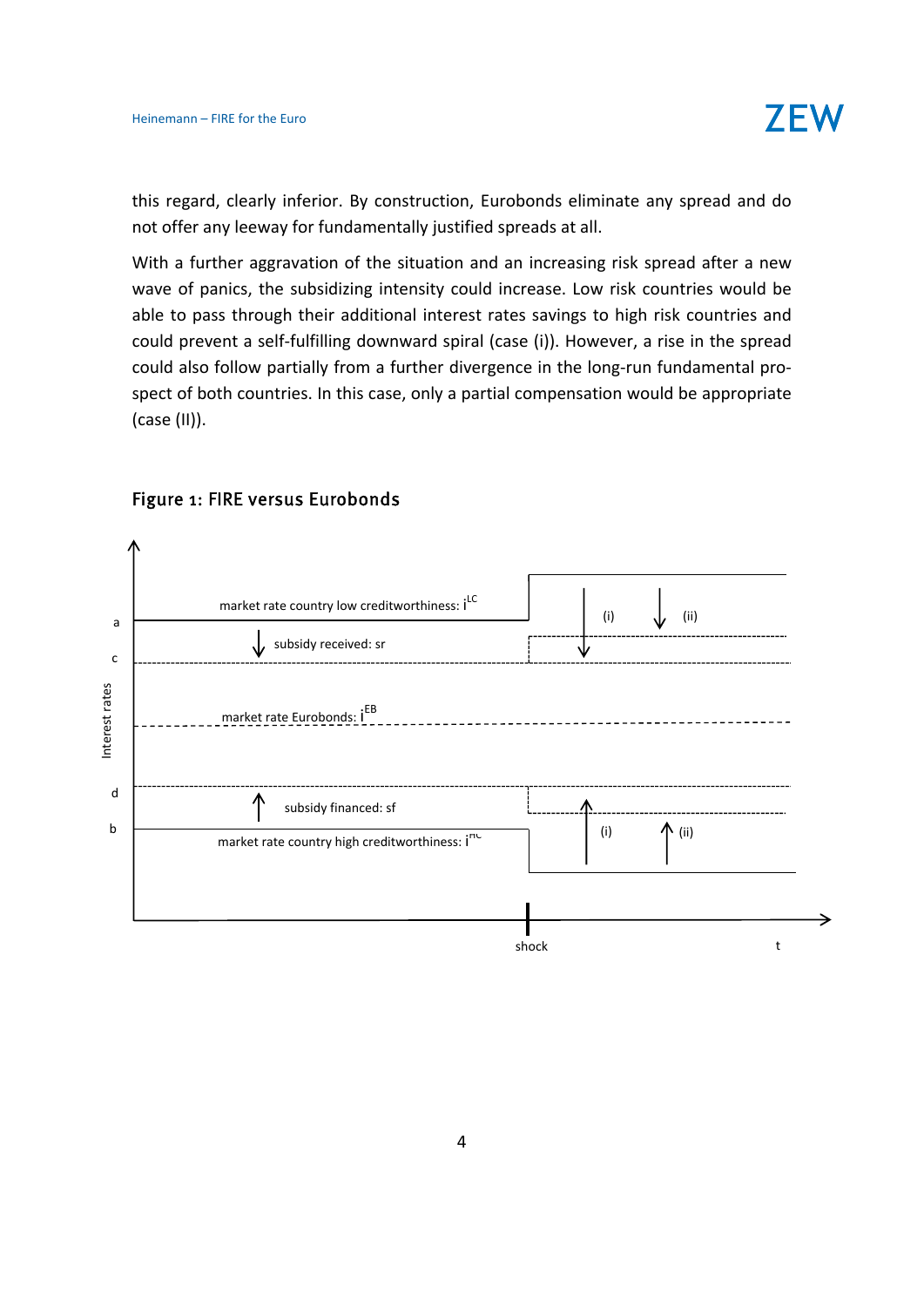

this regard, clearly inferior. By construction, Eurobonds eliminate any spread and do not offer any leeway for fundamentally justified spreads at all.

With a further aggravation of the situation and an increasing risk spread after a new wave of panics, the subsidizing intensity could increase. Low risk countries would be able to pass through their additional interest rates savings to high risk countries and could prevent a self‐fulfilling downward spiral (case (i)). However, a rise in the spread could also follow partially from a further divergence in the long‐run fundamental pro‐ spect of both countries. In this case, only a partial compensation would be appropriate (case (II)).



#### Figure 1: FIRE versus Eurobonds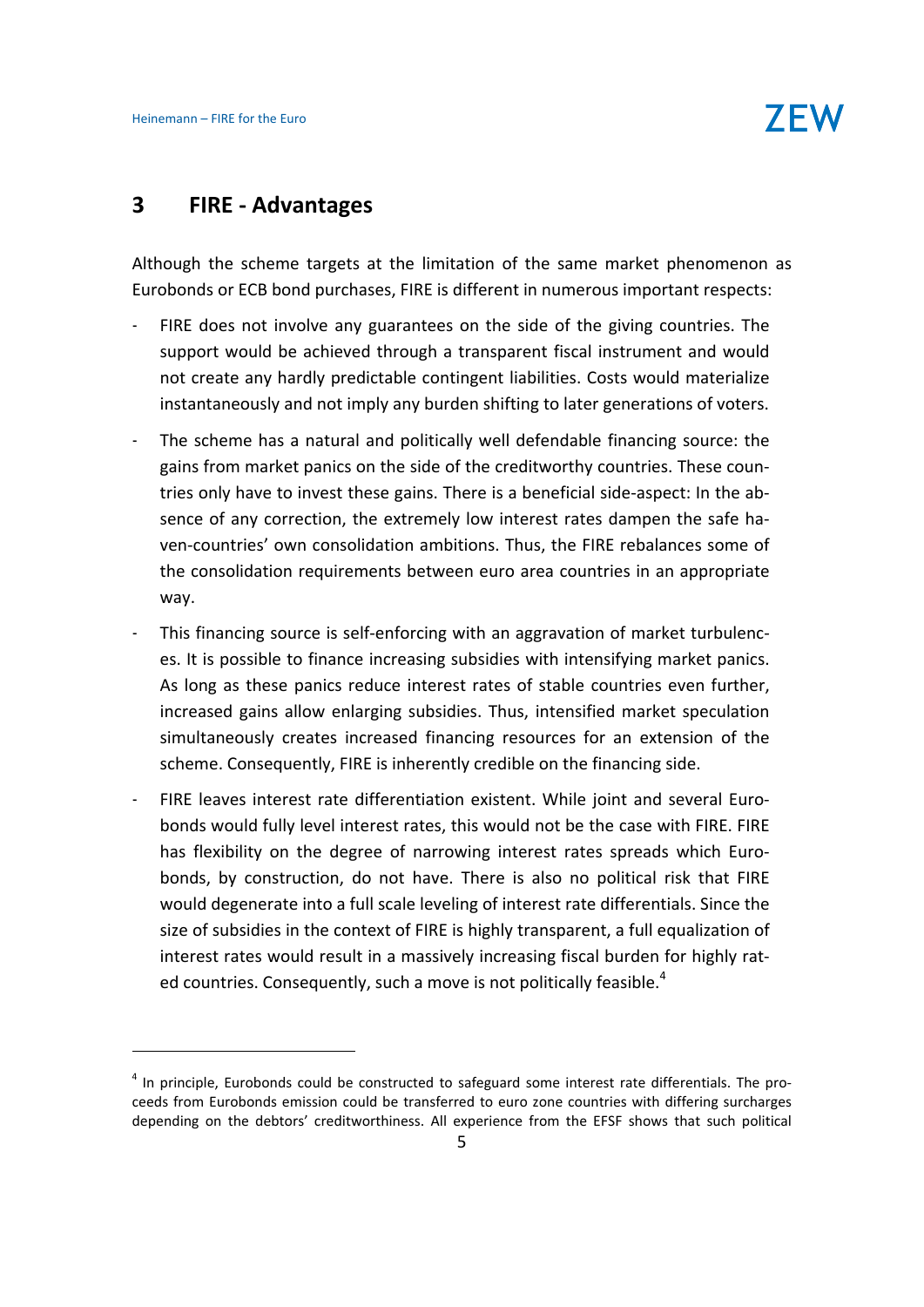### **3 FIRE ‐ Advantages**

Although the scheme targets at the limitation of the same market phenomenon as Eurobonds or ECB bond purchases, FIRE is different in numerous important respects:

- FIRE does not involve any guarantees on the side of the giving countries. The support would be achieved through a transparent fiscal instrument and would not create any hardly predictable contingent liabilities. Costs would materialize instantaneously and not imply any burden shifting to later generations of voters.
- The scheme has a natural and politically well defendable financing source: the gains from market panics on the side of the creditworthy countries. These coun‐ tries only have to invest these gains. There is a beneficial side‐aspect: In the ab‐ sence of any correction, the extremely low interest rates dampen the safe haven‐countries' own consolidation ambitions. Thus, the FIRE rebalances some of the consolidation requirements between euro area countries in an appropriate way.
- This financing source is self-enforcing with an aggravation of market turbulences. It is possible to finance increasing subsidies with intensifying market panics. As long as these panics reduce interest rates of stable countries even further, increased gains allow enlarging subsidies. Thus, intensified market speculation simultaneously creates increased financing resources for an extension of the scheme. Consequently, FIRE is inherently credible on the financing side.
- FIRE leaves interest rate differentiation existent. While joint and several Eurobonds would fully level interest rates, this would not be the case with FIRE. FIRE has flexibility on the degree of narrowing interest rates spreads which Eurobonds, by construction, do not have. There is also no political risk that FIRE would degenerate into a full scale leveling of interest rate differentials. Since the size of subsidies in the context of FIRE is highly transparent, a full equalization of interest rates would result in a massively increasing fiscal burden for highly rat‐ ed countries. Consequently, such a move is not politically feasible.<sup>4</sup>

 $<sup>4</sup>$  In principle, Eurobonds could be constructed to safeguard some interest rate differentials. The pro-</sup> ceeds from Eurobonds emission could be transferred to euro zone countries with differing surcharges depending on the debtors' creditworthiness. All experience from the EFSF shows that such political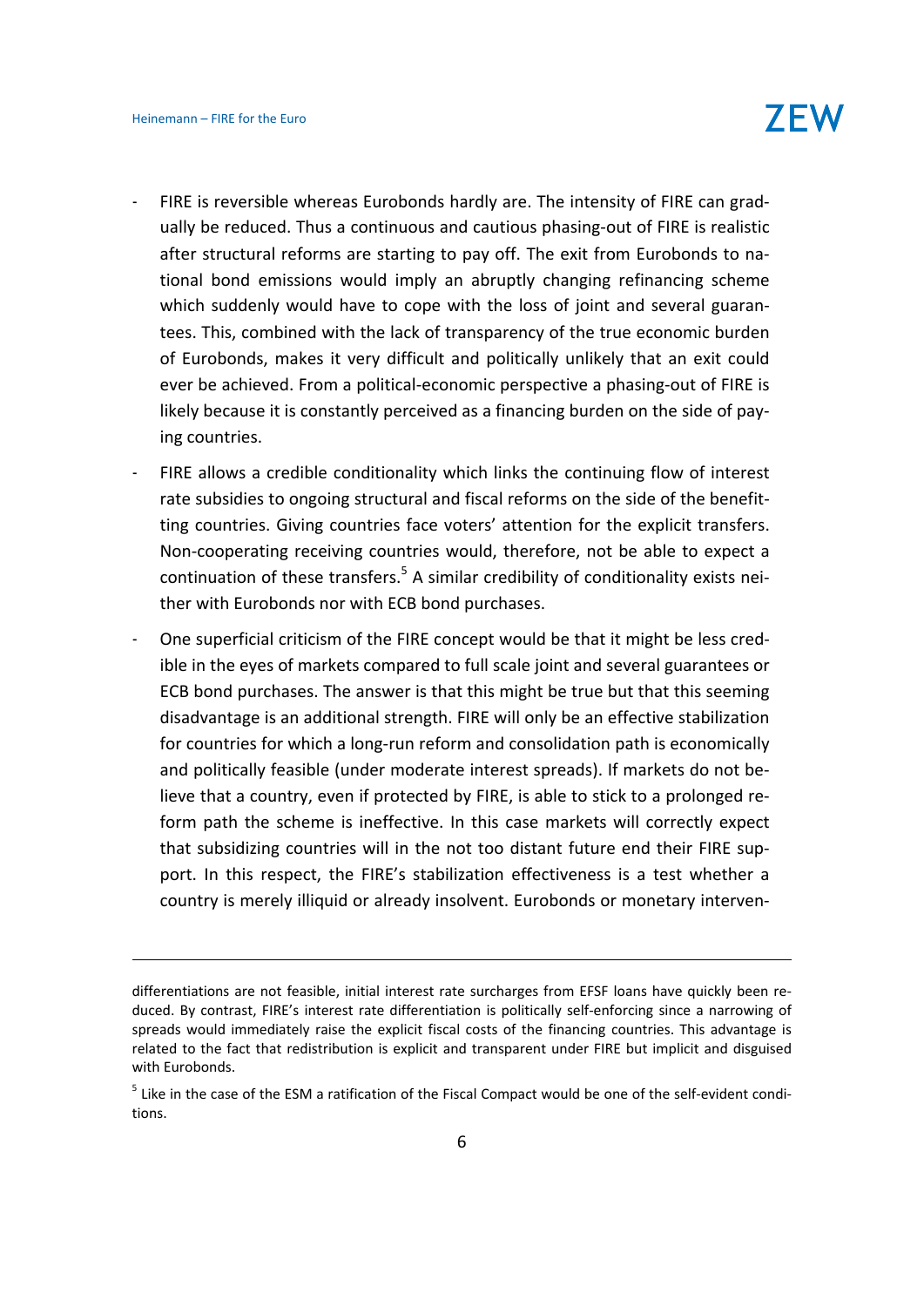- FIRE is reversible whereas Eurobonds hardly are. The intensity of FIRE can gradually be reduced. Thus a continuous and cautious phasing‐out of FIRE is realistic after structural reforms are starting to pay off. The exit from Eurobonds to na‐ tional bond emissions would imply an abruptly changing refinancing scheme which suddenly would have to cope with the loss of joint and several guarantees. This, combined with the lack of transparency of the true economic burden of Eurobonds, makes it very difficult and politically unlikely that an exit could ever be achieved. From a political-economic perspective a phasing-out of FIRE is likely because it is constantly perceived as a financing burden on the side of pay‐ ing countries.
- FIRE allows a credible conditionality which links the continuing flow of interest rate subsidies to ongoing structural and fiscal reforms on the side of the benefit‐ ting countries. Giving countries face voters' attention for the explicit transfers. Non‐cooperating receiving countries would, therefore, not be able to expect a continuation of these transfers. $5$  A similar credibility of conditionality exists neither with Eurobonds nor with ECB bond purchases.
- One superficial criticism of the FIRE concept would be that it might be less cred‐ ible in the eyes of markets compared to full scale joint and several guarantees or ECB bond purchases. The answer is that this might be true but that this seeming disadvantage is an additional strength. FIRE will only be an effective stabilization for countries for which a long-run reform and consolidation path is economically and politically feasible (under moderate interest spreads). If markets do not be‐ lieve that a country, even if protected by FIRE, is able to stick to a prolonged re‐ form path the scheme is ineffective. In this case markets will correctly expect that subsidizing countries will in the not too distant future end their FIRE sup‐ port. In this respect, the FIRE's stabilization effectiveness is a test whether a country is merely illiquid or already insolvent. Eurobonds or monetary interven‐

<u> 1989 - Andrea Station Barbara (h. 1989).</u><br>1980 - Paul Barbara (h. 1980).

differentiations are not feasible, initial interest rate surcharges from EFSF loans have quickly been re‐ duced. By contrast, FIRE's interest rate differentiation is politically self‐enforcing since a narrowing of spreads would immediately raise the explicit fiscal costs of the financing countries. This advantage is related to the fact that redistribution is explicit and transparent under FIRE but implicit and disguised with Eurobonds.

<sup>&</sup>lt;sup>5</sup> Like in the case of the ESM a ratification of the Fiscal Compact would be one of the self-evident conditions.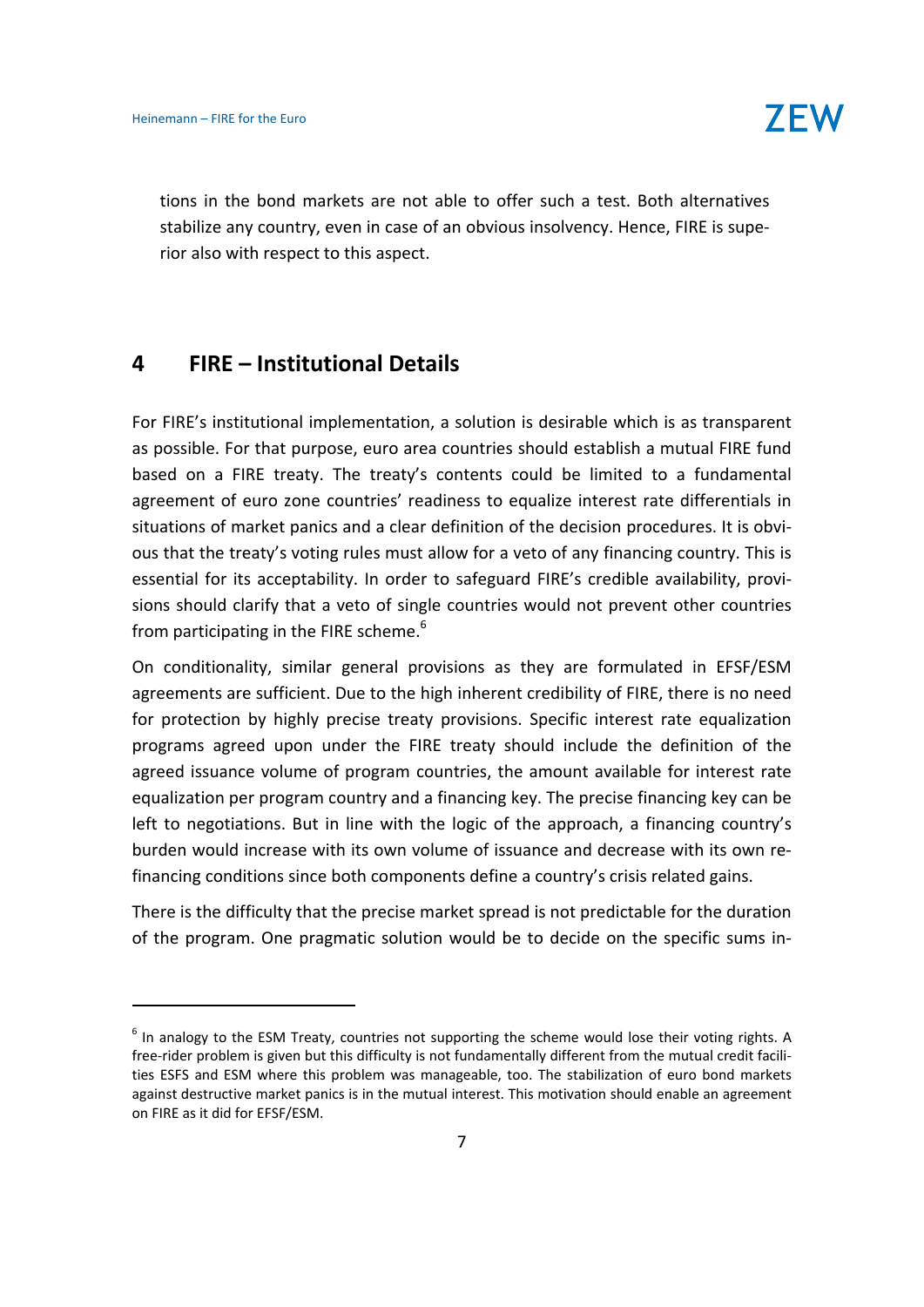tions in the bond markets are not able to offer such a test. Both alternatives stabilize any country, even in case of an obvious insolvency. Hence, FIRE is supe‐ rior also with respect to this aspect.

### **4 FIRE – Institutional Details**

For FIRE's institutional implementation, a solution is desirable which is as transparent as possible. For that purpose, euro area countries should establish a mutual FIRE fund based on a FIRE treaty. The treaty's contents could be limited to a fundamental agreement of euro zone countries' readiness to equalize interest rate differentials in situations of market panics and a clear definition of the decision procedures. It is obvious that the treaty's voting rules must allow for a veto of any financing country. This is essential for its acceptability. In order to safeguard FIRE's credible availability, provi‐ sions should clarify that a veto of single countries would not prevent other countries from participating in the FIRE scheme.<sup>6</sup>

On conditionality, similar general provisions as they are formulated in EFSF/ESM agreements are sufficient. Due to the high inherent credibility of FIRE, there is no need for protection by highly precise treaty provisions. Specific interest rate equalization programs agreed upon under the FIRE treaty should include the definition of the agreed issuance volume of program countries, the amount available for interest rate equalization per program country and a financing key. The precise financing key can be left to negotiations. But in line with the logic of the approach, a financing country's burden would increase with its own volume of issuance and decrease with its own re‐ financing conditions since both components define a country's crisis related gains.

There is the difficulty that the precise market spread is not predictable for the duration of the program. One pragmatic solution would be to decide on the specific sums in‐

 $<sup>6</sup>$  In analogy to the ESM Treaty, countries not supporting the scheme would lose their voting rights. A</sup> free-rider problem is given but this difficulty is not fundamentally different from the mutual credit facilities ESFS and ESM where this problem was manageable, too. The stabilization of euro bond markets against destructive market panics is in the mutual interest. This motivation should enable an agreement on FIRE as it did for EFSF/ESM.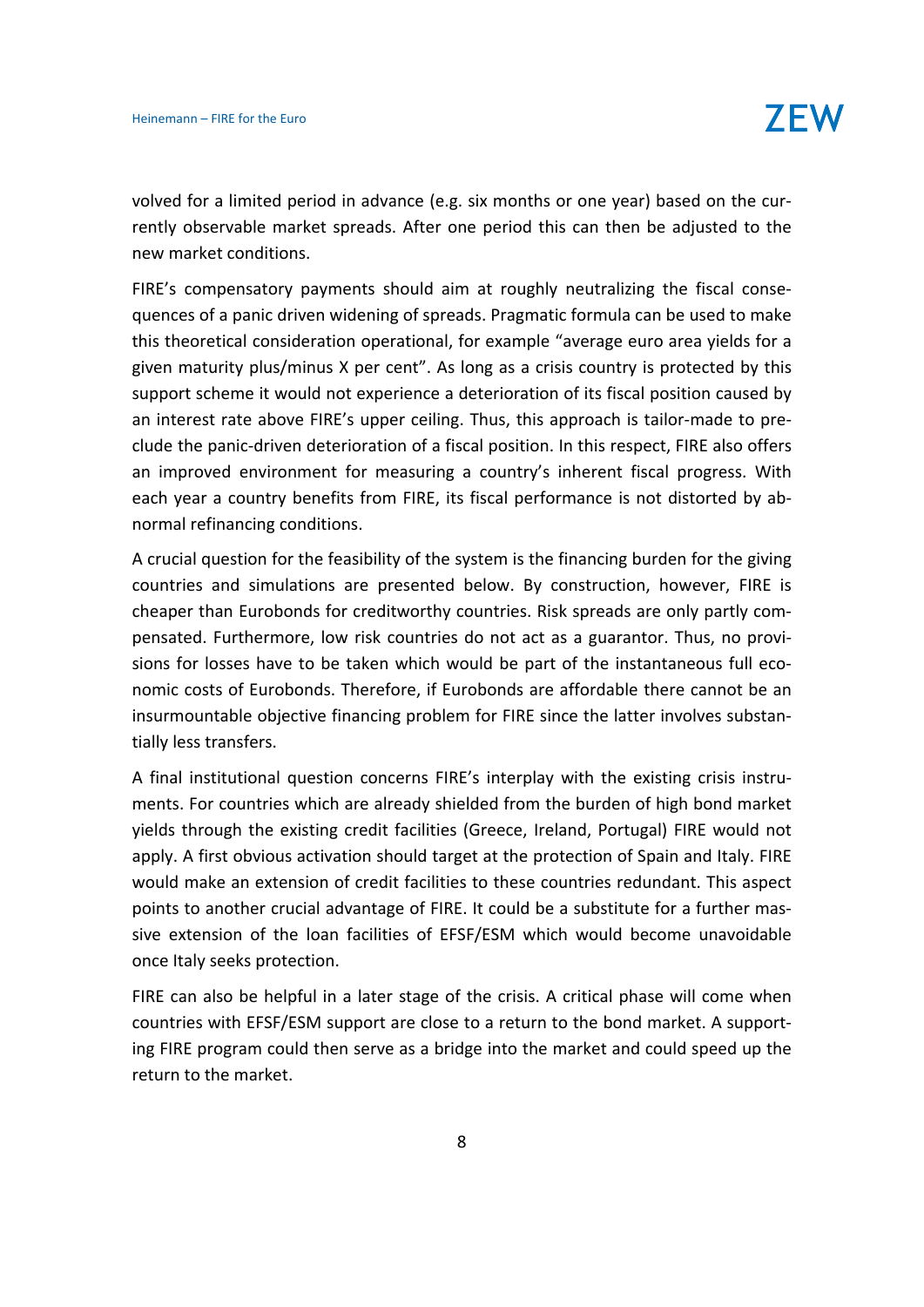volved for a limited period in advance (e.g. six months or one year) based on the cur‐ rently observable market spreads. After one period this can then be adjusted to the new market conditions.

FIRE's compensatory payments should aim at roughly neutralizing the fiscal consequences of a panic driven widening of spreads. Pragmatic formula can be used to make this theoretical consideration operational, for example "average euro area yields for a given maturity plus/minus X per cent". As long as a crisis country is protected by this support scheme it would not experience a deterioration of its fiscal position caused by an interest rate above FIRE's upper ceiling. Thus, this approach is tailor-made to preclude the panic‐driven deterioration of a fiscal position. In this respect, FIRE also offers an improved environment for measuring a country's inherent fiscal progress. With each year a country benefits from FIRE, its fiscal performance is not distorted by ab‐ normal refinancing conditions.

A crucial question for the feasibility of the system is the financing burden for the giving countries and simulations are presented below. By construction, however, FIRE is cheaper than Eurobonds for creditworthy countries. Risk spreads are only partly com‐ pensated. Furthermore, low risk countries do not act as a guarantor. Thus, no provi‐ sions for losses have to be taken which would be part of the instantaneous full economic costs of Eurobonds. Therefore, if Eurobonds are affordable there cannot be an insurmountable objective financing problem for FIRE since the latter involves substan‐ tially less transfers.

A final institutional question concerns FIRE's interplay with the existing crisis instru‐ ments. For countries which are already shielded from the burden of high bond market yields through the existing credit facilities (Greece, Ireland, Portugal) FIRE would not apply. A first obvious activation should target at the protection of Spain and Italy. FIRE would make an extension of credit facilities to these countries redundant. This aspect points to another crucial advantage of FIRE. It could be a substitute for a further mas‐ sive extension of the loan facilities of EFSF/ESM which would become unavoidable once Italy seeks protection.

FIRE can also be helpful in a later stage of the crisis. A critical phase will come when countries with EFSF/ESM support are close to a return to the bond market. A support‐ ing FIRE program could then serve as a bridge into the market and could speed up the return to the market.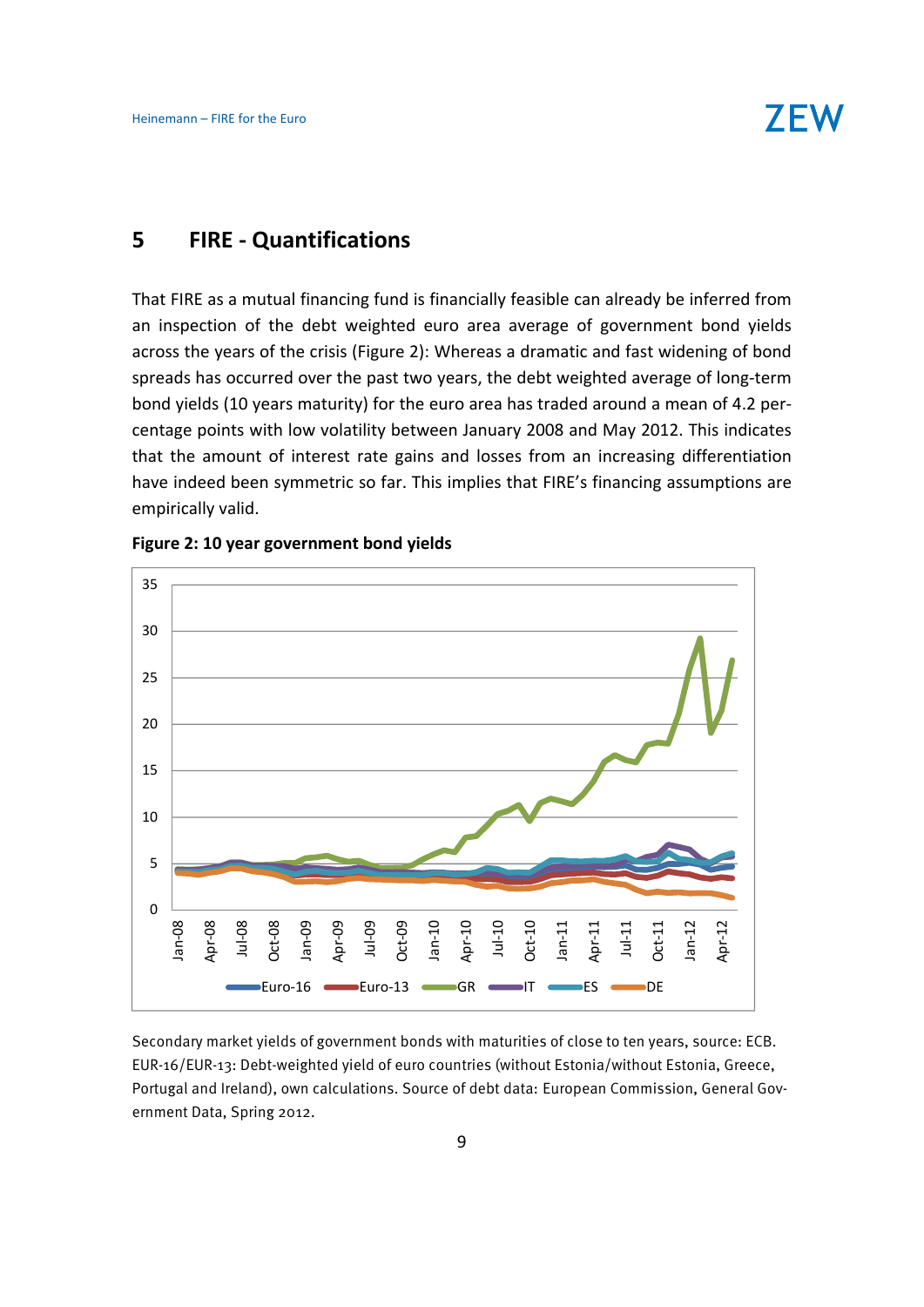

# **5 FIRE ‐ Quantifications**

That FIRE as a mutual financing fund is financially feasible can already be inferred from an inspection of the debt weighted euro area average of government bond yields across the years of the crisis (Figure 2): Whereas a dramatic and fast widening of bond spreads has occurred over the past two years, the debt weighted average of long-term bond yields (10 years maturity) for the euro area has traded around a mean of 4.2 per‐ centage points with low volatility between January 2008 and May 2012. This indicates that the amount of interest rate gains and losses from an increasing differentiation have indeed been symmetric so far. This implies that FIRE's financing assumptions are empirically valid.



#### **Figure 2: 10 year government bond yields**

Secondary market yields of government bonds with maturities of close to ten years, source: ECB. EUR-16/EUR-13: Debt-weighted yield of euro countries (without Estonia/without Estonia, Greece, Portugal and Ireland), own calculations. Source of debt data: European Commission, General Government Data, Spring 2012.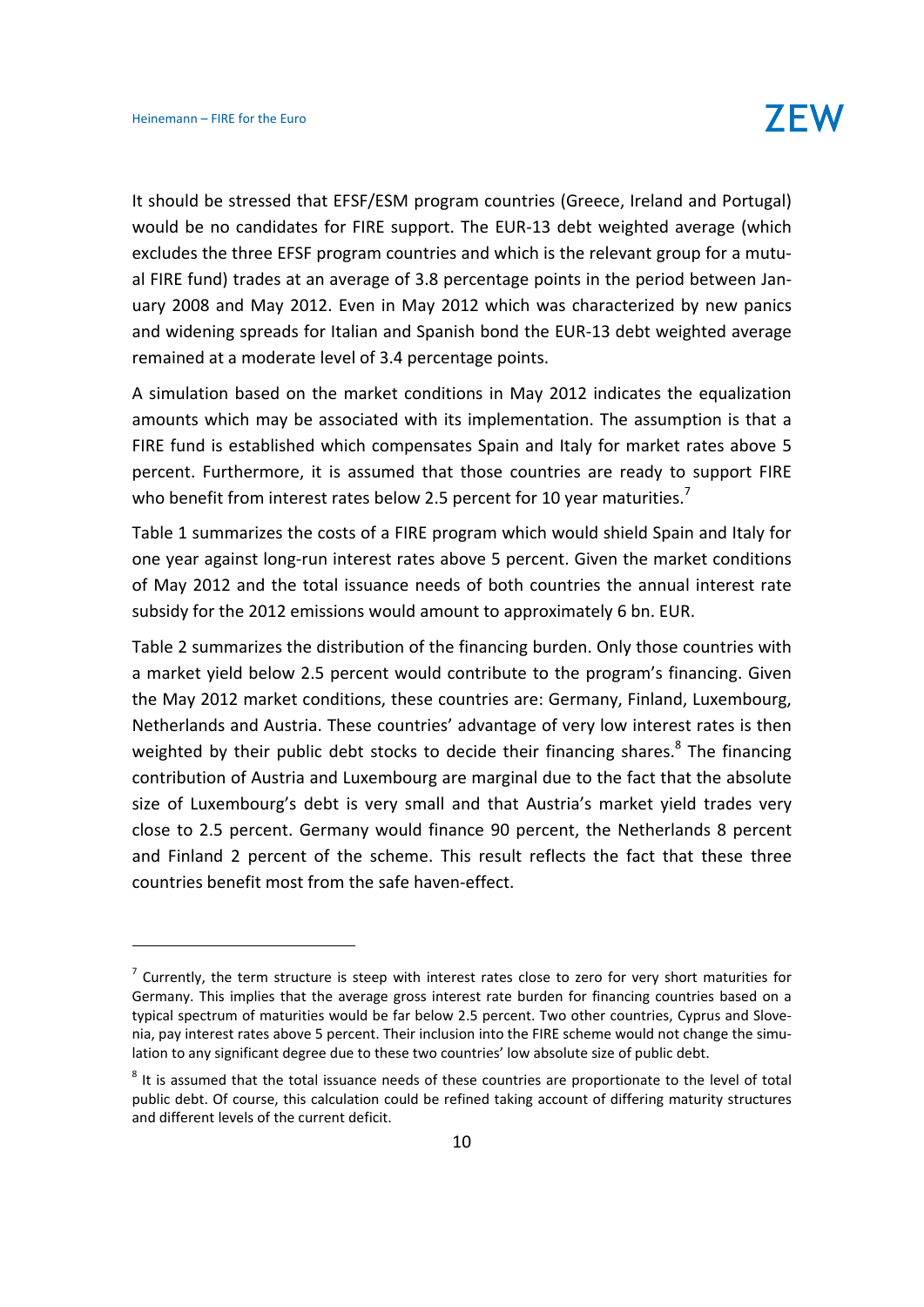It should be stressed that EFSF/ESM program countries (Greece, Ireland and Portugal) would be no candidates for FIRE support. The EUR-13 debt weighted average (which excludes the three EFSF program countries and which is the relevant group for a mutu‐ al FIRE fund) trades at an average of 3.8 percentage points in the period between Jan‐ uary 2008 and May 2012. Even in May 2012 which was characterized by new panics and widening spreads for Italian and Spanish bond the EUR‐13 debt weighted average remained at a moderate level of 3.4 percentage points.

A simulation based on the market conditions in May 2012 indicates the equalization amounts which may be associated with its implementation. The assumption is that a FIRE fund is established which compensates Spain and Italy for market rates above 5 percent. Furthermore, it is assumed that those countries are ready to support FIRE who benefit from interest rates below 2.5 percent for 10 year maturities.<sup>7</sup>

Table 1 summarizes the costs of a FIRE program which would shield Spain and Italy for one year against long‐run interest rates above 5 percent. Given the market conditions of May 2012 and the total issuance needs of both countries the annual interest rate subsidy for the 2012 emissions would amount to approximately 6 bn. EUR.

Table 2 summarizes the distribution of the financing burden. Only those countries with a market yield below 2.5 percent would contribute to the program's financing. Given the May 2012 market conditions, these countries are: Germany, Finland, Luxembourg, Netherlands and Austria. These countries' advantage of very low interest rates is then weighted by their public debt stocks to decide their financing shares.<sup>8</sup> The financing contribution of Austria and Luxembourg are marginal due to the fact that the absolute size of Luxembourg's debt is very small and that Austria's market yield trades very close to 2.5 percent. Germany would finance 90 percent, the Netherlands 8 percent and Finland 2 percent of the scheme. This result reflects the fact that these three countries benefit most from the safe haven‐effect.

 $<sup>7</sup>$  Currently, the term structure is steep with interest rates close to zero for very short maturities for</sup> Germany. This implies that the average gross interest rate burden for financing countries based on a typical spectrum of maturities would be far below 2.5 percent. Two other countries, Cyprus and Slove‐ nia, pay interest rates above 5 percent. Their inclusion into the FIRE scheme would not change the simulation to any significant degree due to these two countries' low absolute size of public debt.

<sup>&</sup>lt;sup>8</sup> It is assumed that the total issuance needs of these countries are proportionate to the level of total public debt. Of course, this calculation could be refined taking account of differing maturity structures and different levels of the current deficit.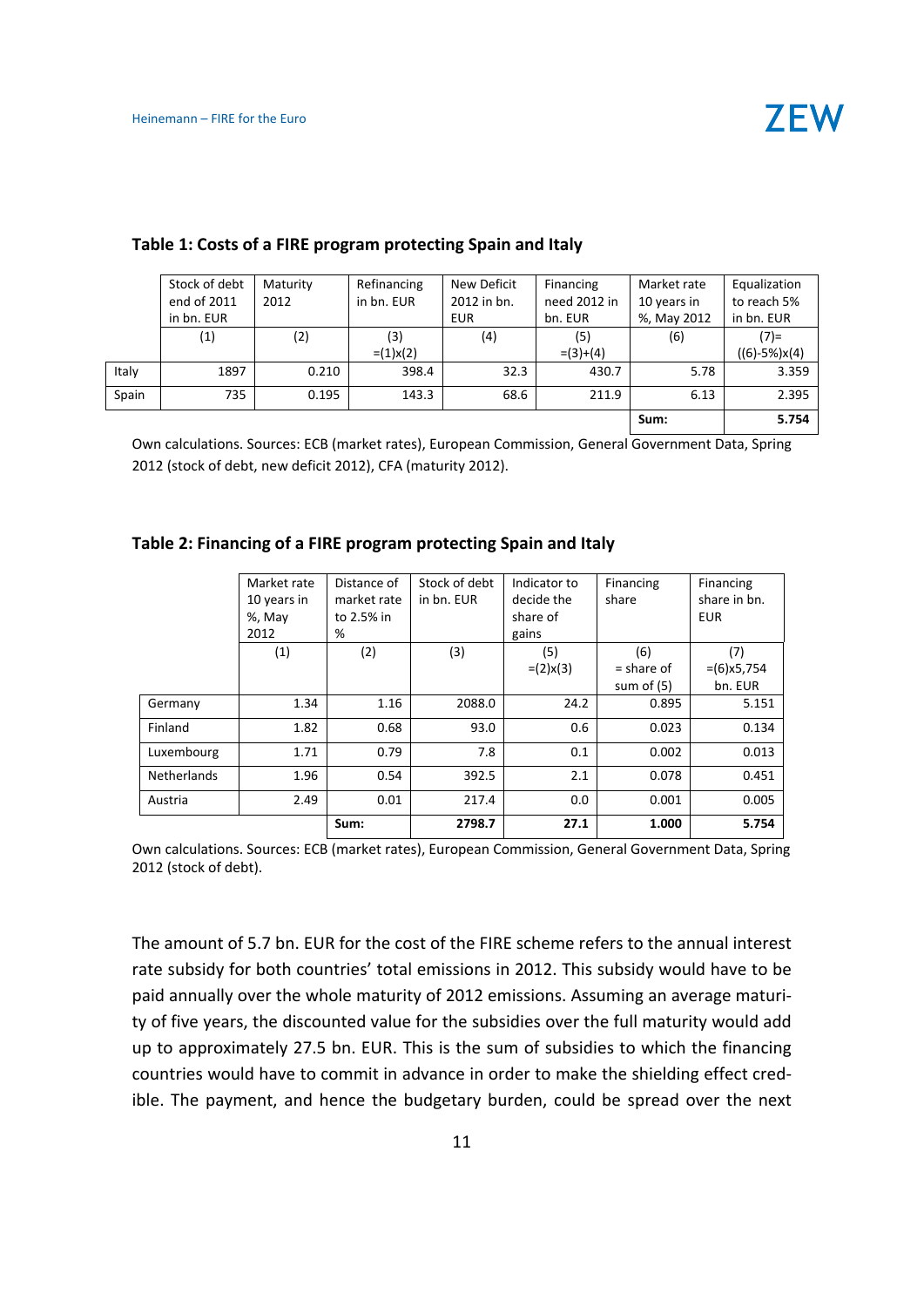|       | Stock of debt | Maturity | Refinancing | New Deficit | Financing    | Market rate | Equalization   |
|-------|---------------|----------|-------------|-------------|--------------|-------------|----------------|
|       | end of 2011   | 2012     | in bn. EUR  | 2012 in bn. | need 2012 in | 10 years in | to reach 5%    |
|       | in bn. EUR    |          |             | <b>EUR</b>  | bn. EUR      | %, May 2012 | in bn. EUR     |
|       | (1)           | (2)      | (3)         | (4)         | (5)          | (6)         | $(7)$ =        |
|       |               |          | $=(1)x(2)$  |             | $=(3)+(4)$   |             | $((6)-5%)x(4)$ |
| Italy | 1897          | 0.210    | 398.4       | 32.3        | 430.7        | 5.78        | 3.359          |
| Spain | 735           | 0.195    | 143.3       | 68.6        | 211.9        | 6.13        | 2.395          |
|       |               |          |             |             |              | Sum:        | 5.754          |

#### **Table 1: Costs of a FIRE program protecting Spain and Italy**

Own calculations. Sources: ECB (market rates), European Commission, General Government Data, Spring 2012 (stock of debt, new deficit 2012), CFA (maturity 2012).

#### **Table 2: Financing of a FIRE program protecting Spain and Italy**

|                    | Market rate<br>10 years in<br>%, May<br>2012 | Distance of<br>market rate<br>to 2.5% in<br>% | Stock of debt<br>in bn. EUR | Indicator to<br>decide the<br>share of<br>gains | Financing<br>share                  | Financing<br>share in bn.<br><b>EUR</b> |
|--------------------|----------------------------------------------|-----------------------------------------------|-----------------------------|-------------------------------------------------|-------------------------------------|-----------------------------------------|
|                    | (1)                                          | (2)                                           | (3)                         | (5)<br>$=(2)x(3)$                               | (6)<br>$=$ share of<br>sum of $(5)$ | (7)<br>$=(6)x5,754$<br>bn. EUR          |
| Germany            | 1.34                                         | 1.16                                          | 2088.0                      | 24.2                                            | 0.895                               | 5.151                                   |
| Finland            | 1.82                                         | 0.68                                          | 93.0                        | 0.6                                             | 0.023                               | 0.134                                   |
| Luxembourg         | 1.71                                         | 0.79                                          | 7.8                         | 0.1                                             | 0.002                               | 0.013                                   |
| <b>Netherlands</b> | 1.96                                         | 0.54                                          | 392.5                       | 2.1                                             | 0.078                               | 0.451                                   |
| Austria            | 2.49                                         | 0.01                                          | 217.4                       | 0.0                                             | 0.001                               | 0.005                                   |
|                    |                                              | Sum:                                          | 2798.7                      | 27.1                                            | 1.000                               | 5.754                                   |

Own calculations. Sources: ECB (market rates), European Commission, General Government Data, Spring 2012 (stock of debt).

The amount of 5.7 bn. EUR for the cost of the FIRE scheme refers to the annual interest rate subsidy for both countries' total emissions in 2012. This subsidy would have to be paid annually over the whole maturity of 2012 emissions. Assuming an average maturi‐ ty of five years, the discounted value for the subsidies over the full maturity would add up to approximately 27.5 bn. EUR. This is the sum of subsidies to which the financing countries would have to commit in advance in order to make the shielding effect cred‐ ible. The payment, and hence the budgetary burden, could be spread over the next